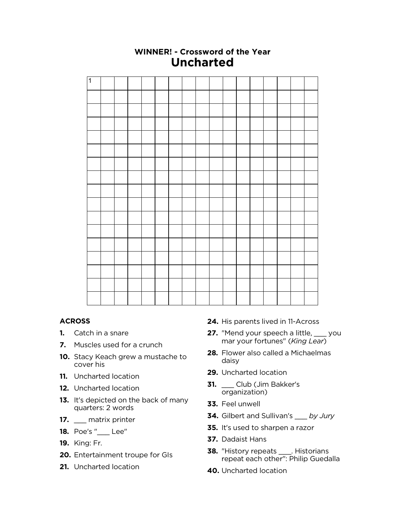

## **WINNER! - Crossword of the Year Uncharted**

## **ACROSS**

- **1.** Catch in a snare
- **7.** Muscles used for a crunch
- **10.** Stacy Keach grew a mustache to cover his
- **11.** Uncharted location
- **12.** Uncharted location
- **13.** It's depicted on the back of many quarters: 2 words
- **17.** \_\_\_ matrix printer
- **18.** Poe's "\_\_\_ Lee"
- **19.** King: Fr.
- **20.** Entertainment troupe for GIs
- **21.** Uncharted location
- **24.** His parents lived in 11-Across
- **27.** "Mend your speech a little, \_\_\_ you mar your fortunes" (*King Lear*)
- **28.** Flower also called a Michaelmas daisy
- **29.** Uncharted location
- **31.** \_\_\_ Club (Jim Bakker's organization)
- **33.** Feel unwell
- **34.** Gilbert and Sullivan's \_\_\_ *by Jury*
- **35.** It's used to sharpen a razor
- **37.** Dadaist Hans
- **38.** "History repeats \_\_\_\_. Historians repeat each other": Philip Guedalla
- **40.** Uncharted location